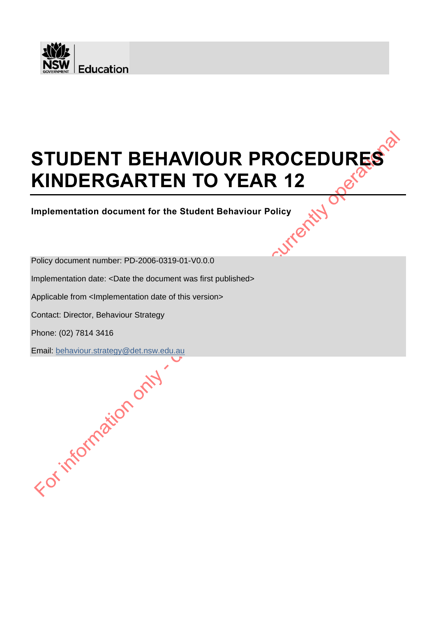

# $\bm{\delta}$ **STUDENT BEHAVIOUR PROCEDURES**<br> **KINDERGARTEN TO YEAR 12 KINDERGARTEN TO YEAR 12**

**Implementation document for the Student Behaviour Policy**

Policy document number: PD-2006-0319-01-V0.0.0

Implementation date: <Date the document was first published>

Applicable from <Implementation date of this version>

Contact: Director, Behaviour Strategy

Phone: (02) 7814 3416

Email: [behaviour.strategy@det.nsw.edu.au](mailto:behaviour.strategy@det.nsw.edu.au)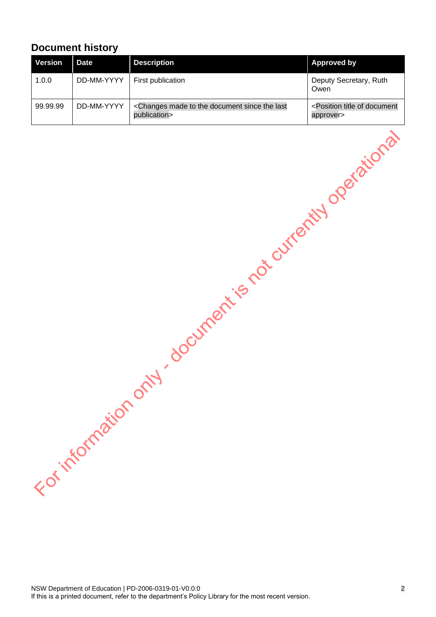# <span id="page-1-0"></span>**Document history**

| <b>Version</b> | Date       | <b>Description</b>                                                                      | <b>Approved by</b>                                              |
|----------------|------------|-----------------------------------------------------------------------------------------|-----------------------------------------------------------------|
| 1.0.0          | DD-MM-YYYY | First publication                                                                       | Deputy Secretary, Ruth<br>Owen                                  |
| 99.99.99       | DD-MM-YYYY | <changes document="" last<br="" made="" since="" the="" to="">publication&gt;</changes> | <position document<br="" of="" title="">approver&gt;</position> |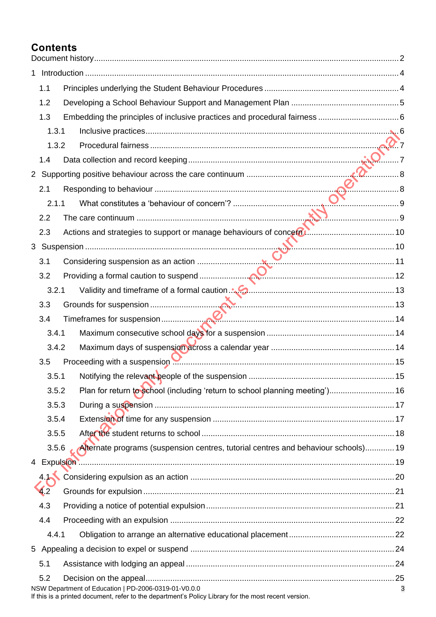# **Contents**

|  | 1.1   |                                                                                                                                                                                                                                      |   |
|--|-------|--------------------------------------------------------------------------------------------------------------------------------------------------------------------------------------------------------------------------------------|---|
|  | 1.2   |                                                                                                                                                                                                                                      |   |
|  | 1.3   |                                                                                                                                                                                                                                      |   |
|  | 1.3.1 |                                                                                                                                                                                                                                      |   |
|  | 1.3.2 |                                                                                                                                                                                                                                      |   |
|  | 1.4   |                                                                                                                                                                                                                                      |   |
|  |       |                                                                                                                                                                                                                                      |   |
|  | 2.1   |                                                                                                                                                                                                                                      |   |
|  | 2.1.1 |                                                                                                                                                                                                                                      |   |
|  | 2.2   |                                                                                                                                                                                                                                      |   |
|  | 2.3   |                                                                                                                                                                                                                                      |   |
|  |       |                                                                                                                                                                                                                                      |   |
|  |       |                                                                                                                                                                                                                                      |   |
|  |       |                                                                                                                                                                                                                                      |   |
|  | 3.2.1 |                                                                                                                                                                                                                                      |   |
|  | 3.3   |                                                                                                                                                                                                                                      |   |
|  | 3.4   |                                                                                                                                                                                                                                      |   |
|  | 3.4.1 |                                                                                                                                                                                                                                      |   |
|  | 3.4.2 |                                                                                                                                                                                                                                      |   |
|  | 3.5   | Proceeding with a suspension <b>With the Constantine Constantine Constantine Constantine Constantine Constantine Constantine Constantine Constantine Constantine Constantine Constantine Constantine Constantine Constantine Con</b> |   |
|  | 3.5.1 |                                                                                                                                                                                                                                      |   |
|  | 3.5.2 | Plan for return to school (including 'return to school planning meeting') 16                                                                                                                                                         |   |
|  | 3.5.3 |                                                                                                                                                                                                                                      |   |
|  | 3.5.4 |                                                                                                                                                                                                                                      |   |
|  | 3.5.5 |                                                                                                                                                                                                                                      |   |
|  | 3.5.6 | Alternate programs (suspension centres, tutorial centres and behaviour schools) 19                                                                                                                                                   |   |
|  |       |                                                                                                                                                                                                                                      |   |
|  | 4.1   |                                                                                                                                                                                                                                      |   |
|  | 4.2   |                                                                                                                                                                                                                                      |   |
|  | 4.3   |                                                                                                                                                                                                                                      |   |
|  | 4.4   |                                                                                                                                                                                                                                      |   |
|  | 4.4.1 |                                                                                                                                                                                                                                      |   |
|  |       |                                                                                                                                                                                                                                      |   |
|  | 5.1   |                                                                                                                                                                                                                                      |   |
|  | 5.2   |                                                                                                                                                                                                                                      |   |
|  |       | NSW Department of Education   PD-2006-0319-01-V0.0.0<br>l<br>2001 : Hannour Courth a roinn an ann an t-eanglais                                                                                                                      | 3 |

If this is a printed document, refer to the department's Policy Library for the most recent version.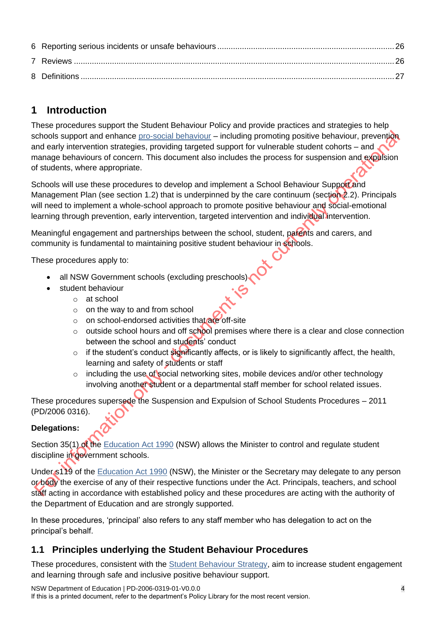# <span id="page-3-0"></span>**1 Introduction**

These procedures support the Student Behaviour Policy and provide practices and strategies to help schools support and enhance [pro-social behaviour](https://education.nsw.gov.au/student-wellbeing/attendance-behaviour-and-engagement/behaviour-support-toolkit/support-for-teachers/understanding-behaviour/pro-social-behaviour) – including promoting positive behaviour, prevention and early intervention strategies, providing targeted support for vulnerable student cohorts – and manage behaviours of concern. This document also includes the process for suspension and expulsion of students, where appropriate.

Schools will use these procedures to develop and implement a School Behaviour Support and Management Plan (see section 1.2) that is underpinned by the care continuum (section 2.2). Principals will need to implement a whole-school approach to promote positive behaviour and social-emotional learning through prevention, early intervention, targeted intervention and individual intervention.

Meaningful engagement and partnerships between the school, student, parents and carers, and community is fundamental to maintaining positive student behaviour in schools.

These procedures apply to:

- all NSW Government schools (excluding preschools)
- student behaviour
	- o at school
	- $\circ$  on the way to and from school
	- o on school-endorsed activities that are off-site
	- $\circ$  outside school hours and off school premises where there is a clear and close connection between the school and students' conduct
	- $\circ$  if the student's conduct significantly affects, or is likely to significantly affect, the health, learning and safety of students or staff
	- $\circ$  including the use of social networking sites, mobile devices and/or other technology involving another student or a departmental staff member for school related issues.

These procedures supersede the Suspension and Expulsion of School Students Procedures – 2011 (PD/2006 0316).

#### **Delegations:**

Section 35(1) of the [Education Act 1990](https://legislation.nsw.gov.au/view/whole/html/inforce/current/act-1990-008#sec.35) (NSW) allows the Minister to control and regulate student discipline in government schools.

Under s119 of the [Education Act 1990](https://legislation.nsw.gov.au/view/whole/html/inforce/current/act-1990-008#sec.119) (NSW), the Minister or the Secretary may delegate to any person or body the exercise of any of their respective functions under the Act. Principals, teachers, and school staff acting in accordance with established policy and these procedures are acting with the authority of the Department of Education and are strongly supported.

In these procedures, 'principal' also refers to any staff member who has delegation to act on the principal's behalf.

# <span id="page-3-1"></span>**1.1 Principles underlying the Student Behaviour Procedures**

These procedures, consistent with the [Student Behaviour Strategy,](https://education.nsw.gov.au/student-wellbeing/attendance-behaviour-and-engagement/behaviour-strategy/the-student-behaviour-strategy) aim to increase student engagement and learning through safe and inclusive positive behaviour support.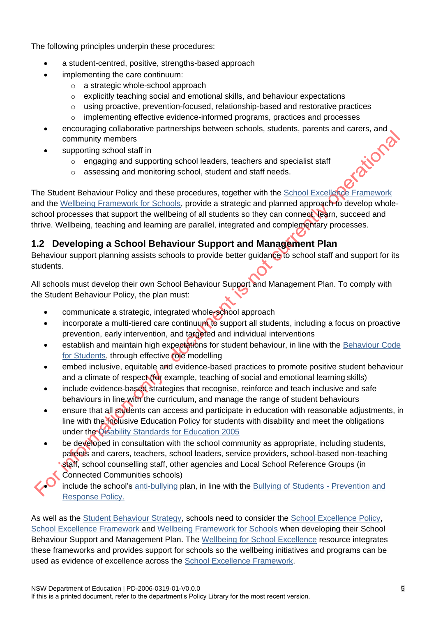The following principles underpin these procedures:

- a student-centred, positive, strengths-based approach
- implementing the care continuum:
	- o a strategic whole-school approach
	- $\circ$  explicitly teaching social and emotional skills, and behaviour expectations
	- $\circ$  using proactive, prevention-focused, relationship-based and restorative practices
	- o implementing effective evidence-informed programs, practices and processes
- encouraging collaborative partnerships between schools, students, parents and carers, and<br>community members<br>supporting school staff in<br>o engaging and supporting school leaders, teachers and specialized<br>assessing and monito community members
	- supporting school staff in
		- o engaging and supporting school leaders, teachers and specialist staff
		- o assessing and monitoring school, student and staff needs.

The Student Behaviour Policy and these procedures, together with the [School Excellence Framework](https://education.nsw.gov.au/teaching-and-learning/school-excellence-and-accountability/sef-evidence-guide/resources/about-sef) and the [Wellbeing Framework for Schools,](https://education.nsw.gov.au/student-wellbeing/whole-school-approach/wellbeing-framework-for-schools) provide a strategic and planned approach to develop wholeschool processes that support the wellbeing of all students so they can connect, learn, succeed and thrive. Wellbeing, teaching and learning are parallel, integrated and complementary processes.

# <span id="page-4-0"></span>**1.2 Developing a School Behaviour Support and Management Plan**

Behaviour support planning assists schools to provide better guidance to school staff and support for its students.

All schools must develop their own School Behaviour Support and Management Plan. To comply with the Student Behaviour Policy, the plan must:

- communicate a strategic, integrated whole-school approach
- incorporate a multi-tiered care continuum to support all students, including a focus on proactive prevention, early intervention, and targeted and individual interventions
- establish and maintain high expectations for student behaviour, in line with the Behaviour Code [for Students,](https://education.nsw.gov.au/public-schools/going-to-a-public-school/translated-documents/behaviour-code-for-students) through effective role modelling
- embed inclusive, equitable and evidence-based practices to promote positive student behaviour and a climate of respect (for example, teaching of social and emotional learning skills)
- include evidence-based strategies that recognise, reinforce and teach inclusive and safe behaviours in line with the curriculum, and manage the range of student behaviours
- ensure that all students can access and participate in education with reasonable adjustments, in line with the Inclusive Education Policy for students with disability and meet the obligations under the [Disability Standards for Education 2005](https://www.legislation.gov.au/Details/F2005L00767)
- be developed in consultation with the school community as appropriate, including students, parents and carers, teachers, school leaders, service providers, school-based non-teaching staff, school counselling staff, other agencies and Local School Reference Groups (in Connected Communities schools)

include the school's [anti-bullying](https://education.nsw.gov.au/student-wellbeing/attendance-behaviour-and-engagement/anti-bullying) plan, in line with the [Bullying of Students -](https://policies.education.nsw.gov.au/policy-library/policies/pd-2010-0415) Prevention and [Response Policy.](https://policies.education.nsw.gov.au/policy-library/policies/pd-2010-0415)

As well as the [Student Behaviour Strategy,](https://education.nsw.gov.au/student-wellbeing/attendance-behaviour-and-engagement/behaviour-strategy/the-student-behaviour-strategy) schools need to consider the [School Excellence Policy,](https://policies.education.nsw.gov.au/policy-library/policies/pd-2016-0468?refid=285776) [School Excellence Framework](https://education.nsw.gov.au/content/dam/main-education/teaching-and-learning/school-excellence-and-accountability/media/documents/SEF_Document_Version_2_2017_AA.pdf) and [Wellbeing Framework for Schools](https://education.nsw.gov.au/student-wellbeing/whole-school-approach/wellbeing-framework-for-schools) when developing their School Behaviour Support and Management Plan. The [Wellbeing for School Excellence](https://education.nsw.gov.au/student-wellbeing/whole-school-approach/wellbeing-framework-for-schools/wellbeing-for-school-excellence) resource integrates these frameworks and provides support for schools so the wellbeing initiatives and programs can be used as evidence of excellence across the [School Excellence Framework.](https://education.nsw.gov.au/content/dam/main-education/teaching-and-learning/school-excellence-and-accountability/media/documents/SEF_Document_Version_2_2017_AA.pdf)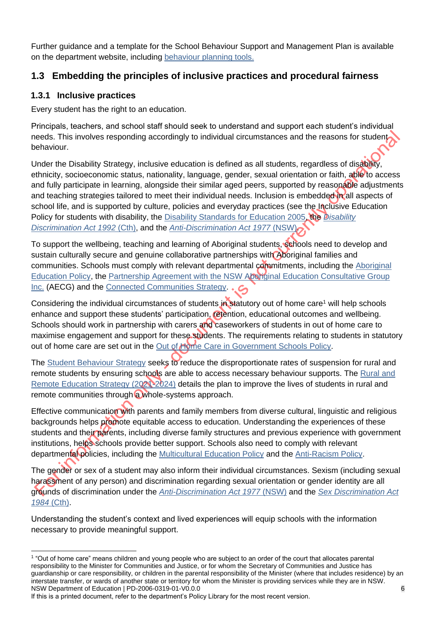Further guidance and a template for the School Behaviour Support and Management Plan is available on the department website, including [behaviour planning tools.](https://education.nsw.gov.au/student-wellbeing/attendance-behaviour-and-engagement/behaviour-support-toolkit)

# <span id="page-5-0"></span>**1.3 Embedding the principles of inclusive practices and procedural fairness**

#### <span id="page-5-1"></span>**1.3.1 Inclusive practices**

Every student has the right to an education.

Principals, teachers, and school staff should seek to understand and support each student's individual needs. This involves responding accordingly to individual circumstances and the reasons for student behaviour.

Under the [Disability Strategy,](https://education.nsw.gov.au/teaching-and-learning/disability-learning-and-support/our-disability-strategy/disability-strategy.html) inclusive education is defined as all students, regardless of disability, ethnicity, socioeconomic status, nationality, language, gender, sexual orientation or faith, able to access and fully participate in learning, alongside their similar aged peers, supported by reasonable adjustments and teaching strategies tailored to meet their individual needs. Inclusion is embedded in all aspects of school life, and is supported by culture, policies and everyday practices (see the Inclusive Education Policy for students with disability, the [Disability Standards for Education 2005,](https://www.legislation.gov.au/Details/F2005L00767) the *[Disability](https://www.legislation.gov.au/Details/C2018C00125)  [Discrimination Act 1992](https://www.legislation.gov.au/Details/C2018C00125)* (Cth), and the *[Anti-Discrimination Act 1977](https://www.legislation.nsw.gov.au/view/html/inforce/current/act-1977-048)* (NSW).

To support the wellbeing, teaching and learning of Aboriginal students, schools need to develop and sustain culturally secure and genuine collaborative partnerships with Aboriginal families and communities. Schools must comply with relevant departmental commitments, including the [Aboriginal](https://policies.education.nsw.gov.au/policy-library/policies/aboriginal-education-and-training-policy?refid=285776)  [Education Policy,](https://policies.education.nsw.gov.au/policy-library/policies/aboriginal-education-and-training-policy?refid=285776) the [Partnership Agreement with the NSW Aboriginal Education Consultative Group](https://education.nsw.gov.au/teaching-and-learning/aec/aboriginal-education-consultative-group-partnership-agreement) [Inc.](https://education.nsw.gov.au/teaching-and-learning/aec/aboriginal-education-consultative-group-partnership-agreement) (AECG) and the [Connected Communities Strategy.](https://education.nsw.gov.au/public-schools/connected-communities/connected-communities-strategy)

Considering the individual circumstances of students in statutory out of home care<sup>1</sup> will help schools enhance and support these students' participation, retention, educational outcomes and wellbeing. Schools should work in partnership with carers and caseworkers of students in out of home care to maximise engagement and support for these students. The requirements relating to students in statutory out of home care are set out in the [Out of Home Care in Government Schools Policy.](https://education.nsw.gov.au/policy-library/policies/out-of-home-care-in-government-schools-policy)

The [Student Behaviour Strategy](https://education.nsw.gov.au/student-wellbeing/attendance-behaviour-and-engagement/student-behaviour/behaviour-strategy/the-student-behaviour-strategy) seeks to reduce the disproportionate rates of suspension for rural and remote students by ensuring schools are able to access necessary behaviour supports. The Rural and [Remote Education Strategy \(2021-2024\)](https://education.nsw.gov.au/about-us/strategies-and-reports/rural-and-remote-education-strategy-2021-24) details the plan to improve the lives of students in rural and remote communities through a whole-systems approach.

Effective communication with parents and family members from diverse cultural, linguistic and religious backgrounds helps promote equitable access to education. Understanding the experiences of these students and their parents, including diverse family structures and previous experience with government institutions, helps schools provide better support. Schools also need to comply with relevant departmental policies, including the [Multicultural Education Policy](https://education.nsw.gov.au/policy-library/policies/pd-2005-0234) and the [Anti-Racism Policy.](https://education.nsw.gov.au/policy-library/policies/pd-2005-0235)

The gender or sex of a student may also inform their individual circumstances. Sexism (including sexual harassment of any person) and discrimination regarding sexual orientation or gender identity are all grounds of discrimination under the *[Anti-Discrimination Act 1977](https://www.legislation.nsw.gov.au/view/html/inforce/current/act-1977-048)* (NSW) and the *[Sex Discrimination Act](https://www.legislation.gov.au/Details/C2018C00499)  [1984](https://www.legislation.gov.au/Details/C2018C00499)* (Cth).

Understanding the student's context and lived experiences will equip schools with the information necessary to provide meaningful support.

NSW Department of Education | PD-2006-0319-01-V0.0.0 6 1 "Out of home care" means children and young people who are subject to an order of the court that allocates parental responsibility to the Minister for Communities and Justice, or for whom the Secretary of Communities and Justice has guardianship or care responsibility, or children in the parental responsibility of the Minister (where that includes residence) by an interstate transfer, or wards of another state or territory for whom the Minister is providing services while they are in NSW.

If this is a printed document, refer to the department's Policy Library for the most recent version.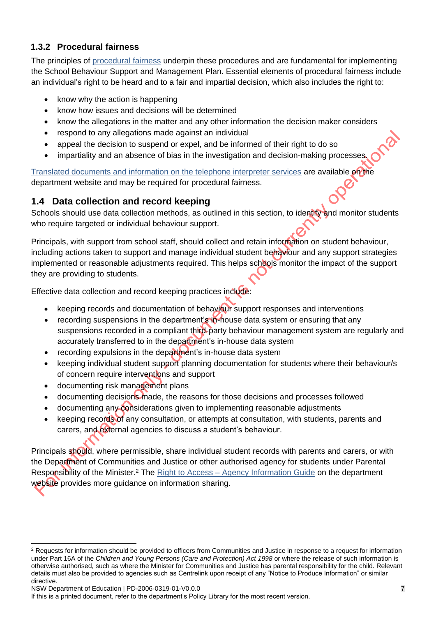#### <span id="page-6-0"></span>**1.3.2 Procedural fairness**

The principles of [procedural fairness](https://education.nsw.gov.au/about-us/rights-and-accountability/legal-issues-bulletins/procedural-fairness) underpin these procedures and are fundamental for implementing the School Behaviour Support and Management Plan. Essential elements of procedural fairness include an individual's right to be heard and to a fair and impartial decision, which also includes the right to:

- know why the action is happening
- know how issues and decisions will be determined
- know the allegations in the matter and any other information the decision maker considers
- respond to any allegations made against an individual
- appeal the decision to suspend or expel, and be informed of their right to do so
- impartiality and an absence of bias in the investigation and decision-making processes.

[Translated documents and information on the telephone interpreter services](https://education.nsw.gov.au/public-schools/going-to-a-public-school/translated-documents) are available on the department website and may be required for procedural fairness.

## <span id="page-6-1"></span>**1.4 Data collection and record keeping**

Schools should use data collection methods, as outlined in this section, to identify and monitor students who require targeted or individual behaviour support.

Principals, with support from school staff, should collect and retain information on student behaviour, including actions taken to support and manage individual student behaviour and any support strategies implemented or reasonable adjustments required. This helps schools monitor the impact of the support they are providing to students.

Effective data collection and record keeping practices include:

- keeping records and documentation of behaviour support responses and interventions
- recording suspensions in the department's in-house data system or ensuring that any suspensions recorded in a compliant third-party behaviour management system are regularly and accurately transferred to in the department's in-house data system
- recording expulsions in the department's in-house data system
- keeping individual student support planning documentation for students where their behaviour/s of concern require interventions and support
- documenting risk management plans
- documenting decisions made, the reasons for those decisions and processes followed
- documenting any considerations given to implementing reasonable adjustments
- keeping records of any consultation, or attempts at consultation, with students, parents and carers, and external agencies to discuss a student's behaviour.

Principals should, where permissible, share individual student records with parents and carers, or with the Department of Communities and Justice or other authorised agency for students under Parental Responsibility of the Minister.<sup>2</sup> The Right to Access – [Agency Information Guide](https://education.nsw.gov.au/about-us/rights-and-accountability/information-access) on the department website provides more quidance on information sharing.

<sup>&</sup>lt;sup>2</sup> Requests for information should be provided to officers from Communities and Justice in response to a request for information under Part 16A of the *Children and Young Persons (Care and Protection) Act 1998* or where the release of such information is otherwise authorised, such as where the Minister for Communities and Justice has parental responsibility for the child. Relevant details must also be provided to agencies such as Centrelink upon receipt of any "Notice to Produce Information" or similar directive.

NSW Department of Education | PD-2006-0319-01-V0.0.0 7

If this is a printed document, refer to the department's Policy Library for the most recent version.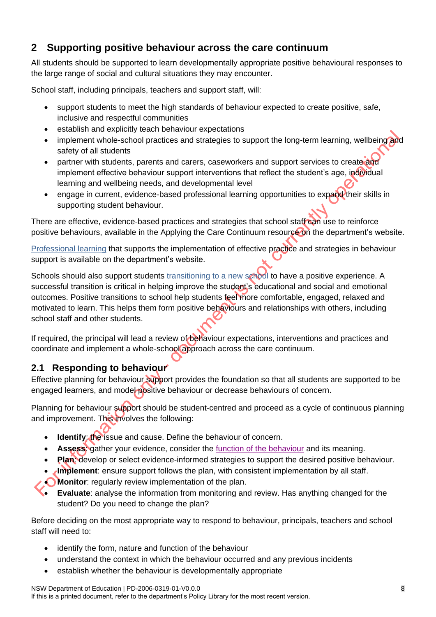# <span id="page-7-0"></span>**2 Supporting positive behaviour across the care continuum**

All students should be supported to learn developmentally appropriate positive behavioural responses to the large range of social and cultural situations they may encounter.

School staff, including principals, teachers and support staff, will:

- support students to meet the high standards of behaviour expected to create positive, safe, inclusive and respectful communities
- establish and explicitly teach behaviour expectations
- implement whole-school practices and strategies to support the long-term learning, wellbeing and safety of all students
- partner with students, parents and carers, caseworkers and support services to create and implement effective behaviour support interventions that reflect the student's age, individual learning and wellbeing needs, and developmental level
- engage in current, evidence-based professional learning opportunities to expand their skills in supporting student behaviour.

There are effective, evidence-based practices and strategies that school staff can use to reinforce positive behaviours, available in the Applying the Care Continuum resource on the department's website.

[Professional learning](https://education.nsw.gov.au/student-wellbeing/attendance-behaviour-and-engagement/behaviour-professional-learning) that supports the implementation of effective practice and strategies in behaviour support is available on the department's website.

Schools should also support students [transitioning to a new school](https://education.nsw.gov.au/parents-and-carers/going-to-school/preparing/back-to-school-transitions) to have a positive experience. A successful transition is critical in helping improve the student's educational and social and emotional outcomes. Positive transitions to school help students feel more comfortable, engaged, relaxed and motivated to learn. This helps them form positive behaviours and relationships with others, including school staff and other students.

If required, the principal will lead a review of behaviour expectations, interventions and practices and coordinate and implement a whole-school approach across the care continuum.

# <span id="page-7-1"></span>**2.1 Responding to behaviour**

Effective planning for behaviour support provides the foundation so that all students are supported to be engaged learners, and model positive behaviour or decrease behaviours of concern.

Planning for behaviour support should be student-centred and proceed as a cycle of continuous planning and improvement. This involves the following:

- **Identify: the issue and cause. Define the behaviour of concern.**
- **Assess:** gather your evidence, consider the [function of the behaviour](https://education.nsw.gov.au/content/dam/main-education/student-wellbeing/attendance-behaviour-and-engagement/media/documents/Functional-Behaviour-Assessment-fact-sheet.pdf) and its meaning.
- **Plan:** develop or select evidence-informed strategies to support the desired positive behaviour.
- **Implement**: ensure support follows the plan, with consistent implementation by all staff.
- **Monitor**: regularly review implementation of the plan.
- **Evaluate**: analyse the information from monitoring and review. Has anything changed for the student? Do you need to change the plan?

Before deciding on the most appropriate way to respond to behaviour, principals, teachers and school staff will need to:

- identify the form, nature and [function](https://education.nsw.gov.au/content/dam/main-education/student-wellbeing/attendance-behaviour-and-engagement/media/documents/Functional-Behaviour-Assessment-fact-sheet.pdf) of the behaviour
- understand the context in which the behaviour occurred and any previous incidents
- establish whether the behaviour is developmentally appropriate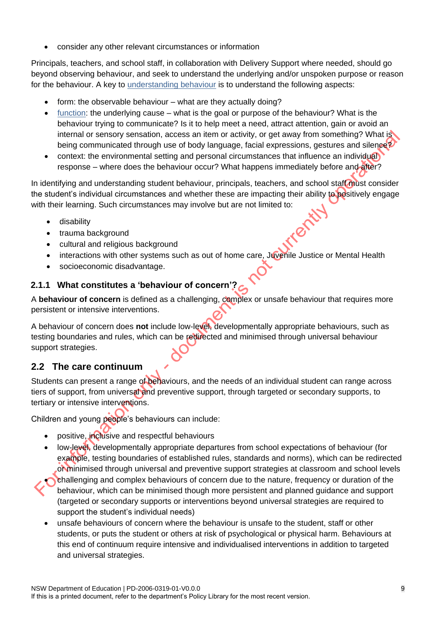• consider any other relevant circumstances or information

Principals, teachers, and school staff, in collaboration with Delivery Support where needed, should go beyond observing behaviour, and seek to understand the underlying and/or unspoken purpose or reason for the behaviour. A key to [understanding behaviour](https://education.nsw.gov.au/student-wellbeing/attendance-behaviour-and-engagement/behaviour-support-toolkit/support-for-teachers/understanding-behaviour) is to understand the following aspects:

- form: the observable behaviour what are they actually doing?
- [function:](https://education.nsw.gov.au/content/dam/main-education/student-wellbeing/attendance-behaviour-and-engagement/media/documents/Functional-Behaviour-Assessment-fact-sheet.pdf) the underlying cause what is the goal or purpose of the behaviour? What is the behaviour trying to communicate? Is it to help meet a need, attract attention, gain or avoid an internal or sensory sensation, access an item or activity, or get away from something? What is being communicated through use of body language, facial expressions, gestures and silence?
- context: the environmental setting and personal circumstances that influence an individual response – where does the behaviour occur? What happens immediately before and after?

In identifying and understanding student behaviour, principals, teachers, and school staff must consider the student's individual circumstances and whether these are impacting their ability to positively engage with their learning. Such circumstances may involve but are not limited to:

- disability
- trauma background
- cultural and religious background
- interactions with other systems such as out of home care, Juvenile Justice or Mental Health
- socioeconomic disadvantage.

#### <span id="page-8-0"></span>**2.1.1 What constitutes a 'behaviour of concern'?**

A **behaviour of concern** is defined as a challenging, complex or unsafe behaviour that requires more persistent or intensive interventions.

A behaviour of concern does **not** include low-level, developmentally appropriate behaviours, such as testing boundaries and rules, which can be redirected and minimised through universal behaviour support strategies.

## <span id="page-8-1"></span>**2.2 The care continuum**

Students can present a range of behaviours, and the needs of an individual student can range across tiers of support, from universal and preventive support, through targeted or secondary supports, to tertiary or intensive interventions.

Children and young people's behaviours can include:

- positive, inclusive and respectful behaviours
- low-level, developmentally appropriate departures from school expectations of behaviour (for example, testing boundaries of established rules, standards and norms), which can be redirected or minimised through universal and preventive support strategies at classroom and school levels
- challenging and complex behaviours of concern due to the nature, frequency or duration of the behaviour, which can be minimised though more persistent and planned guidance and support (targeted or secondary supports or interventions beyond universal strategies are required to support the student's individual needs)
	- unsafe behaviours of concern where the behaviour is unsafe to the student, staff or other students, or puts the student or others at risk of psychological or physical harm. Behaviours at this end of continuum require intensive and individualised interventions in addition to targeted and universal strategies.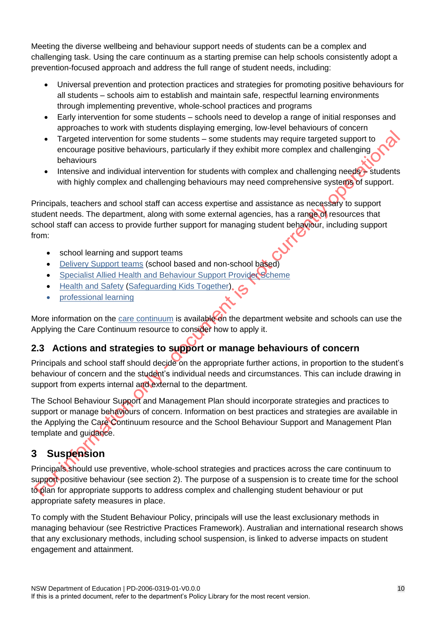Meeting the diverse wellbeing and behaviour support needs of students can be a complex and challenging task. Using the care continuum as a starting premise can help schools consistently adopt a prevention-focused approach and address the full range of student needs, including:

- Universal prevention and protection practices and strategies for promoting positive behaviours for all students – schools aim to establish and maintain safe, respectful learning environments through implementing preventive, whole-school practices and programs
- Early intervention for some students schools need to develop a range of initial responses and approaches to work with students displaying emerging, low-level behaviours of concern
- Targeted intervention for some students some students may require targeted support to encourage positive behaviours, particularly if they exhibit more complex and challenging behaviours
- Intensive and individual intervention for students with complex and challenging needs students with highly complex and challenging behaviours may need comprehensive systems of support.

Principals, teachers and school staff can access expertise and assistance as necessary to support student needs. The department, along with some external agencies, has a range of resources that school staff can access to provide further support for managing student behaviour, including support from:

- school learning and support teams
- [Delivery Support teams](https://education.nsw.gov.au/student-wellbeing/attendance-behaviour-and-engagement/behaviour-support-toolkit/support-for-leaders/support/how-do-i-access-behaviour-support) (school based and non-school based)
- **[Specialist Allied Health and Behaviour Support Provider Scheme](https://education.nsw.gov.au/teaching-and-learning/disability-learning-and-support/programs-and-services/specialist-allied-health-service-provider-scheme)**
- [Health and Safety](https://education.nsw.gov.au/inside-the-department/health-and-safety) [\(Safeguarding Kids Together\)](https://education.nsw.gov.au/inside-the-department/health-and-safety/safeguarding-kids-together)
- [professional learning](https://education.nsw.gov.au/student-wellbeing/attendance-behaviour-and-engagement/behaviour-professional-learning)

More information on the [care continuum](https://education.nsw.gov.au/student-wellbeing/attendance-behaviour-and-engagement/behaviour-support-toolkit/support-for-teachers/the-care-continuum) is available on the department website and schools can use the Applying the Care Continuum resource to consider how to apply it.

## <span id="page-9-0"></span>**2.3 Actions and strategies to support or manage behaviours of concern**

Principals and school staff should decide on the appropriate further actions, in proportion to the student's behaviour of concern and the student's individual needs and circumstances. This can include drawing in support from experts internal and external to the department.

The School Behaviour Support and Management Plan should incorporate strategies and practices to support or manage behaviours of concern. Information on best practices and strategies are available in the Applying the Care Continuum resource and the School Behaviour Support and Management Plan template and guidance.

# <span id="page-9-1"></span>**3 Suspension**

Principals should use preventive, whole-school strategies and practices across the care continuum to support positive behaviour (see section 2). The purpose of a suspension is to create time for the school to plan for appropriate supports to address complex and challenging student behaviour or put appropriate safety measures in place.

To comply with the Student Behaviour Policy, principals will use the least exclusionary methods in managing behaviour (see Restrictive Practices Framework). Australian and international research shows that any exclusionary methods, including school suspension, is linked to adverse impacts on student engagement and attainment.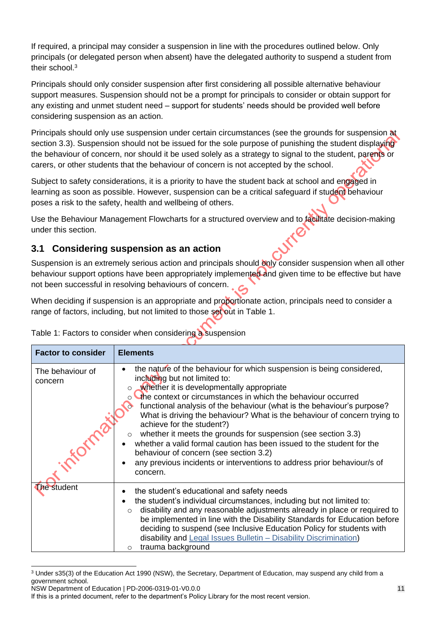If required, a principal may consider a suspension in line with the procedures outlined below. Only principals (or delegated person when absent) have the delegated authority to suspend a student from their school.<sup>3</sup>

Principals should only consider suspension after first considering all possible alternative behaviour support measures. Suspension should not be a prompt for principals to consider or obtain support for any existing and unmet student need – support for students' needs should be provided well before considering suspension as an action.

Principals should only use suspension under certain circumstances (see the grounds for suspension at section 3.3). Suspension should not be issued for the sole purpose of punishing the student displaying the behaviour of concern, nor should it be used solely as a strategy to signal to the student, parents or carers, or other students that the behaviour of concern is not accepted by the school.

Subject to safety considerations, it is a priority to have the student back at school and engaged in learning as soon as possible. However, suspension can be a critical safeguard if student behaviour poses a risk to the safety, health and wellbeing of others.

Use the Behaviour Management Flowcharts for a structured overview and to facilitate decision-making under this section.

### <span id="page-10-0"></span>**3.1 Considering suspension as an action**

Suspension is an extremely serious action and principals should only consider suspension when all other behaviour support options have been appropriately implemented and given time to be effective but have not been successful in resolving behaviours of concern.

When deciding if suspension is an appropriate and proportionate action, principals need to consider a range of factors, including, but not limited to those set out in Table 1.

| <b>Factor to consider</b>   | <b>Elements</b>                                                                                                                                                                                                                                                                                                                                                                                                                                                                                                                                                                                                                                                                                                           |
|-----------------------------|---------------------------------------------------------------------------------------------------------------------------------------------------------------------------------------------------------------------------------------------------------------------------------------------------------------------------------------------------------------------------------------------------------------------------------------------------------------------------------------------------------------------------------------------------------------------------------------------------------------------------------------------------------------------------------------------------------------------------|
| The behaviour of<br>concern | the nature of the behaviour for which suspension is being considered,<br>$\bullet$<br>including but not limited to:<br>whether it is developmentally appropriate<br>$\circ$<br>○ the context or circumstances in which the behaviour occurred<br>functional analysis of the behaviour (what is the behaviour's purpose?<br>What is driving the behaviour? What is the behaviour of concern trying to<br>achieve for the student?)<br>whether it meets the grounds for suspension (see section 3.3)<br>whether a valid formal caution has been issued to the student for the<br>behaviour of concern (see section 3.2)<br>any previous incidents or interventions to address prior behaviour/s of<br>$\bullet$<br>concern. |
| <b>The student</b>          | the student's educational and safety needs<br>$\bullet$<br>the student's individual circumstances, including but not limited to:<br>disability and any reasonable adjustments already in place or required to<br>$\circ$<br>be implemented in line with the Disability Standards for Education before<br>deciding to suspend (see Inclusive Education Policy for students with<br>disability and Legal Issues Bulletin - Disability Discrimination)<br>trauma background<br>O                                                                                                                                                                                                                                             |

Table 1: Factors to consider when considering a suspension

 $\overline{a}$ <sup>3</sup> Under s35(3) of the Education Act 1990 (NSW), the Secretary, Department of Education, may suspend any child from a government school.

NSW Department of Education | PD-2006-0319-01-V0.0.0

If this is a printed document, refer to the department's Policy Library for the most recent version.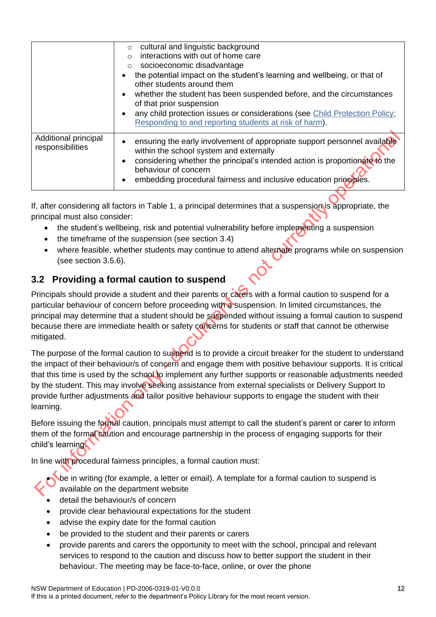|                                          | cultural and linguistic background<br>$\circ$<br>interactions with out of home care<br>$\Omega$<br>socioeconomic disadvantage<br>$\circ$<br>the potential impact on the student's learning and wellbeing, or that of<br>other students around them<br>whether the student has been suspended before, and the circumstances<br>$\bullet$<br>of that prior suspension<br>any child protection issues or considerations (see Child Protection Policy:<br>Responding to and reporting students at risk of harm). |
|------------------------------------------|--------------------------------------------------------------------------------------------------------------------------------------------------------------------------------------------------------------------------------------------------------------------------------------------------------------------------------------------------------------------------------------------------------------------------------------------------------------------------------------------------------------|
| Additional principal<br>responsibilities | ensuring the early involvement of appropriate support personnel available<br>within the school system and externally<br>considering whether the principal's intended action is proportionate to the<br>$\bullet$<br>behaviour of concern<br>embedding procedural fairness and inclusive education principles.                                                                                                                                                                                                |

If, after considering all factors in Table 1, a principal determines that a suspension is appropriate, the principal must also consider:

- the student's wellbeing, risk and potential vulnerability before implementing a suspension
- the timeframe of the suspension (see section 3.4)
- where feasible, whether students may continue to attend alternate programs while on suspension (see section 3.5.6).

## <span id="page-11-0"></span>**3.2 Providing a formal caution to suspend**

Principals should provide a student and their parents or carers with a formal caution to suspend for a particular behaviour of concern before proceeding with a suspension. In limited circumstances, the principal may determine that a student should be suspended without issuing a formal caution to suspend because there are immediate health or safety concerns for students or staff that cannot be otherwise mitigated.

The purpose of the formal caution to suspend is to provide a circuit breaker for the student to understand the impact of their behaviour/s of concern and engage them with positive behaviour supports. It is critical that this time is used by the school to implement any further supports or reasonable adjustments needed by the student. This may involve seeking assistance from external specialists or Delivery Support to provide further adjustments and tailor positive behaviour supports to engage the student with their learning.

Before issuing the formal caution, principals must attempt to call the student's parent or carer to inform them of the formal caution and encourage partnership in the process of engaging supports for their child's learning.

In line with procedural fairness principles, a formal caution must:

• be in writing (for example, a letter or email). A template for a formal caution to suspend is available on the department website

- detail the behaviour/s of concern
- provide clear behavioural expectations for the student
- advise the expiry date for the formal caution
- be provided to the student and their parents or carers
- provide parents and carers the opportunity to meet with the school, principal and relevant services to respond to the caution and discuss how to better support the student in their behaviour. The meeting may be face-to-face, online, or over the phone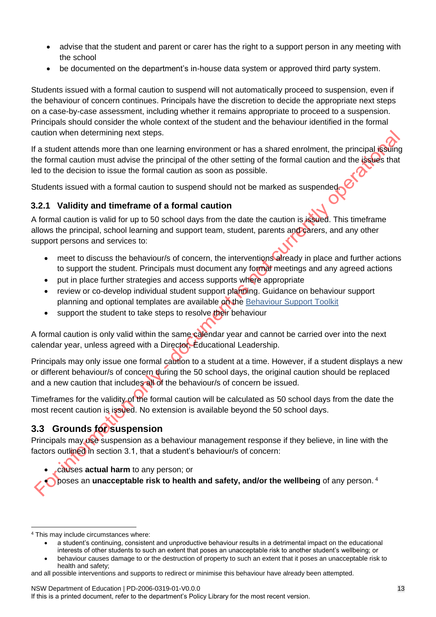- advise that the student and parent or carer has the right to a support person in any meeting with the school
- be documented on the department's in-house data system or approved third party system.

Students issued with a formal caution to suspend will not automatically proceed to suspension, even if the behaviour of concern continues. Principals have the discretion to decide the appropriate next steps on a case-by-case assessment, including whether it remains appropriate to proceed to a suspension. Principals should consider the whole context of the student and the behaviour identified in the formal caution when determining next steps.

If a student attends more than one learning environment or has a shared enrolment, the principal issuing the formal caution must advise the principal of the other setting of the formal caution and the issues that led to the decision to issue the formal caution as soon as possible.

Students issued with a formal caution to suspend should not be marked as suspended.

#### <span id="page-12-0"></span>**3.2.1 Validity and timeframe of a formal caution**

A formal caution is valid for up to 50 school days from the date the caution is issued. This timeframe allows the principal, school learning and support team, student, parents and carers, and any other support persons and services to:

- meet to discuss the behaviour/s of concern, the interventions already in place and further actions to support the student. Principals must document any formal meetings and any agreed actions
- put in place further strategies and access supports where appropriate
- review or co-develop individual student support planning. Guidance on behaviour support planning and optional templates are available on the [Behaviour Support Toolkit](https://education.nsw.gov.au/student-wellbeing/attendance-behaviour-and-engagement/behaviour-support-toolkit/support-for-teachers/the-care-continuum)
- support the student to take steps to resolve their behaviour

A formal caution is only valid within the same calendar year and cannot be carried over into the next calendar year, unless agreed with a Director, Educational Leadership.

Principals may only issue one formal caution to a student at a time. However, if a student displays a new or different behaviour/s of concern during the 50 school days, the original caution should be replaced and a new caution that includes all of the behaviour/s of concern be issued.

Timeframes for the validity of the formal caution will be calculated as 50 school days from the date the most recent caution is issued. No extension is available beyond the 50 school days.

## <span id="page-12-1"></span>**3.3 Grounds for suspension**

Principals may use suspension as a behaviour management response if they believe, in line with the factors outlined in section 3.1, that a student's behaviour/s of concern:

• causes **actual harm** to any person; or

• poses an **unacceptable risk to health and safety, and/or the wellbeing** of any person. <sup>4</sup>

 <sup>4</sup> This may include circumstances where:

<sup>•</sup> a student's continuing, consistent and unproductive behaviour results in a detrimental impact on the educational interests of other students to such an extent that poses an unacceptable risk to another student's wellbeing; or

<sup>•</sup> behaviour causes damage to or the destruction of property to such an extent that it poses an unacceptable risk to health and safety;

and all possible interventions and supports to redirect or minimise this behaviour have already been attempted.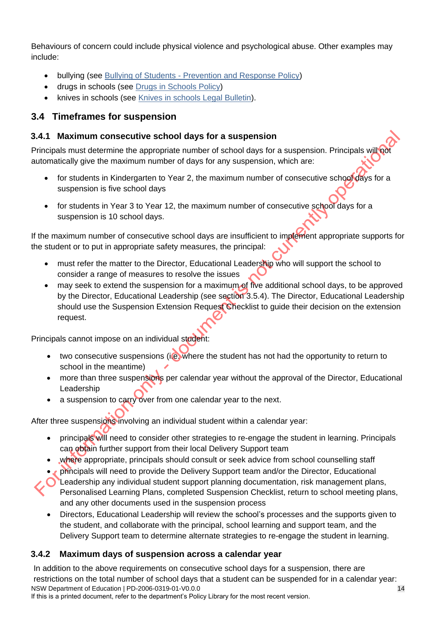Behaviours of concern could include physical violence and psychological abuse. Other examples may include:

- bullying (see Bullying of Students [Prevention and Response Policy\)](https://policies.education.nsw.gov.au/policy-library/policies/pd-2010-0415?refid=285835)
- drugs in schools (see [Drugs in Schools Policy\)](https://policies.education.nsw.gov.au/policy-library/policies/pd-2002-0040?refid=285835)
- knives in schools (see [Knives in schools Legal Bulletin\)](https://education.nsw.gov.au/about-us/rights-and-accountability/legal-issues-bulletins/bulletin-22-possession-of-knives).

# <span id="page-13-0"></span>**3.4 Timeframes for suspension**

#### <span id="page-13-1"></span>**3.4.1 Maximum consecutive school days for a suspension**

Principals must determine the appropriate number of school days for a suspension. Principals will not automatically give the maximum number of days for any suspension, which are:

- for students in Kindergarten to Year 2, the maximum number of consecutive school days for a suspension is five school days
- for students in Year 3 to Year 12, the maximum number of consecutive school days for a suspension is 10 school days.

If the maximum number of consecutive school days are insufficient to implement appropriate supports for the student or to put in appropriate safety measures, the principal:

- must refer the matter to the Director, Educational Leadership who will support the school to consider a range of measures to resolve the issues
- may seek to extend the suspension for a maximum of five additional school days, to be approved by the Director, Educational Leadership (see section 3.5.4). The Director, Educational Leadership should use the Suspension Extension Request Checklist to guide their decision on the extension request.

Principals cannot impose on an individual student:

- two consecutive suspensions (i.e. where the student has not had the opportunity to return to school in the meantime)
- more than three suspensions per calendar year without the approval of the Director, Educational Leadership
- a suspension to carry over from one calendar year to the next.

After three suspensions involving an individual student within a calendar year:

- principals will need to consider other strategies to re-engage the student in learning. Principals can obtain further support from their local Delivery Support team
- where appropriate, principals should consult or seek advice from school counselling staff
- **principals will need to provide the Delivery Support team and/or the Director, Educational**
- Leadership any individual student support planning documentation, risk management plans, Personalised Learning Plans, completed Suspension Checklist, return to school meeting plans, and any other documents used in the suspension process
	- Directors, Educational Leadership will review the school's processes and the supports given to the student, and collaborate with the principal, school learning and support team, and the Delivery Support team to determine alternate strategies to re-engage the student in learning.

## <span id="page-13-2"></span>**3.4.2 Maximum days of suspension across a calendar year**

NSW Department of Education | PD-2006-0319-01-V0.0.0 If this is a printed document, refer to the department's Policy Library for the most recent version. In addition to the above requirements on consecutive school days for a suspension, there are restrictions on the total number of school days that a student can be suspended for in a calendar year: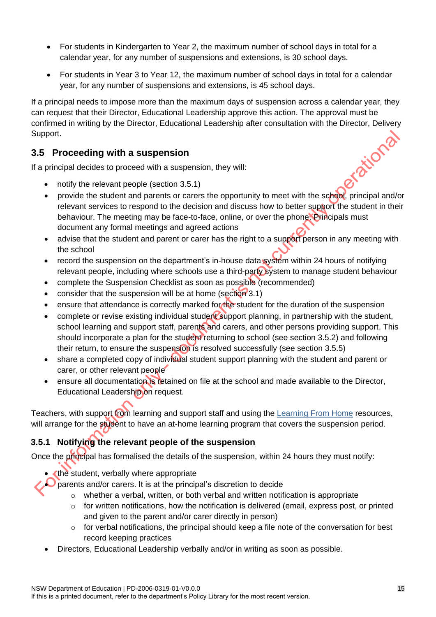- For students in Kindergarten to Year 2, the maximum number of school days in total for a calendar year, for any number of suspensions and extensions, is 30 school days.
- For students in Year 3 to Year 12, the maximum number of school days in total for a calendar year, for any number of suspensions and extensions, is 45 school days.

If a principal needs to impose more than the maximum days of suspension across a calendar year, they can request that their Director, Educational Leadership approve this action. The approval must be confirmed in writing by the Director, Educational Leadership after consultation with the Director, Delivery Support.<br>
3.5 Proceeding with a suspension of the Mathematical decides to proceed with a suspension, they will.<br>
• Support.

#### <span id="page-14-0"></span>**3.5 Proceeding with a suspension**

If a principal decides to proceed with a suspension, they will:

- notify the relevant people (section 3.5.1)
- provide the student and parents or carers the opportunity to meet with the school, principal and/or relevant services to respond to the decision and discuss how to better support the student in their behaviour. The meeting may be face-to-face, online, or over the phone. Principals must document any formal meetings and agreed actions
- advise that the student and parent or carer has the right to a support person in any meeting with the school
- record the suspension on the department's in-house data system within 24 hours of notifying relevant people, including where schools use a third-party system to manage student behaviour
- complete the Suspension Checklist as soon as possible (recommended)
- consider that the suspension will be at home (section 3.1)
- ensure that attendance is correctly marked for the student for the duration of the suspension
- complete or revise existing individual student support planning, in partnership with the student, school learning and support staff, parents and carers, and other persons providing support. This should incorporate a plan for the student returning to school (see section 3.5.2) and following their return, to ensure the suspension is resolved successfully (see section 3.5.5)
- share a completed copy of individual student support planning with the student and parent or carer, or other relevant people
- ensure all documentation is retained on file at the school and made available to the Director, Educational Leadership on request.

Teachers, with support from learning and support staff and using the [Learning From Home](https://education.nsw.gov.au/teaching-and-learning/learning-from-home) resources, will arrange for the student to have an at-home learning program that covers the suspension period.

#### <span id="page-14-1"></span>**3.5.1 Notifying the relevant people of the suspension**

Once the principal has formalised the details of the suspension, within 24 hours they must notify:

• the student, verbally where appropriate

 $\bigcup$  parents and/or carers. It is at the principal's discretion to decide

- $\circ$  whether a verbal, written, or both verbal and written notification is appropriate
- $\circ$  for written notifications, how the notification is delivered (email, express post, or printed and given to the parent and/or carer directly in person)
- $\circ$  for verbal notifications, the principal should keep a file note of the conversation for best record keeping practices
- Directors, Educational Leadership verbally and/or in writing as soon as possible.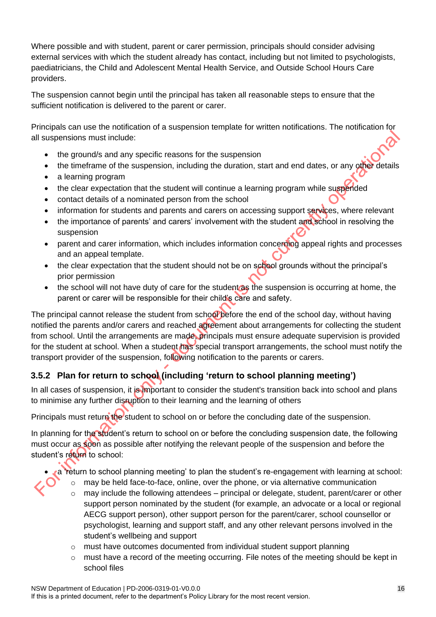Where possible and with student, parent or carer permission, principals should consider advising external services with which the student already has contact, including but not limited to psychologists, paediatricians, the Child and Adolescent Mental Health Service, and Outside School Hours Care providers.

The suspension cannot begin until the principal has taken all reasonable steps to ensure that the sufficient notification is delivered to the parent or carer.

Principals can use the notification of a suspension template for written notifications. The notification for all suspensions must include:

- the ground/s and any specific reasons for the suspension
- the timeframe of the suspension, including the duration, start and end dates, or any other details
- a learning program
- the clear expectation that the student will continue a learning program while suspended
- contact details of a nominated person from the school
- information for students and parents and carers on accessing support services, where relevant
- the importance of parents' and carers' involvement with the student and school in resolving the suspension
- parent and carer information, which includes information concerning appeal rights and processes and an appeal template.
- the clear expectation that the student should not be on school grounds without the principal's prior permission
- the school will not have duty of care for the student as the suspension is occurring at home, the parent or carer will be responsible for their child's care and safety.

The principal cannot release the student from school before the end of the school day, without having notified the parents and/or carers and reached agreement about arrangements for collecting the student from school. Until the arrangements are made, principals must ensure adequate supervision is provided for the student at school. When a student has special transport arrangements, the school must notify the transport provider of the suspension, following notification to the parents or carers.

## <span id="page-15-0"></span>**3.5.2 Plan for return to school (including 'return to school planning meeting')**

In all cases of suspension, it is important to consider the student's transition back into school and plans to minimise any further disruption to their learning and the learning of others

Principals must return the student to school on or before the concluding date of the suspension.

In planning for the student's return to school on or before the concluding suspension date, the following must occur as soon as possible after notifying the relevant people of the suspension and before the student's return to school:

- a 'return to school planning meeting' to plan the student's re-engagement with learning at school:
	- may be held face-to-face, online, over the phone, or via alternative communication
	- may include the following attendees principal or delegate, student, parent/carer or other support person nominated by the student (for example, an advocate or a local or regional AECG support person), other support person for the parent/carer, school counsellor or psychologist, learning and support staff, and any other relevant persons involved in the student's wellbeing and support
	- $\circ$  must have outcomes documented from individual student support planning
	- $\circ$  must have a record of the meeting occurring. File notes of the meeting should be kept in school files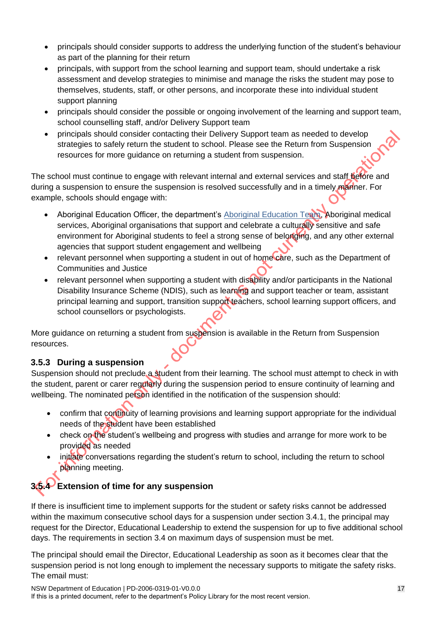- principals should consider supports to address the underlying function of the student's behaviour as part of the planning for their return
- principals, with support from the school learning and support team, should undertake a risk assessment and develop strategies to minimise and manage the risks the student may pose to themselves, students, staff, or other persons, and incorporate these into individual student support planning
- principals should consider the possible or ongoing involvement of the learning and support team, school counselling staff, and/or Delivery Support team
- principals should consider contacting their Delivery Support team as needed to develop strategies to safely return the student to school. Please see the Return from Suspension resources for more guidance on returning a student from suspension.

The school must continue to engage with relevant internal and external services and staff before and during a suspension to ensure the suspension is resolved successfully and in a timely manner. For example, schools should engage with:

- Aboriginal Education Officer, the department's [Aboriginal Education Team,](https://education.nsw.gov.au/teaching-and-learning/aec/aboriginal-education-support-teams/aboriginal-education-teams-across-principal-network-offices) Aboriginal medical services, Aboriginal organisations that support and celebrate a culturally sensitive and safe environment for Aboriginal students to feel a strong sense of belonging, and any other external agencies that support student engagement and wellbeing
- relevant personnel when supporting a student in out of home care, such as the Department of Communities and Justice
- relevant personnel when supporting a student with disability and/or participants in the National Disability Insurance Scheme (NDIS), such as learning and support teacher or team, assistant principal learning and support, transition support teachers, school learning support officers, and school counsellors or psychologists.

More guidance on returning a student from suspension is available in the Return from Suspension resources.

## <span id="page-16-0"></span>**3.5.3 During a suspension**

Suspension should not preclude a student from their learning. The school must attempt to check in with the student, parent or carer regularly during the suspension period to ensure continuity of learning and wellbeing. The nominated person identified in the notification of the suspension should:

- confirm that continuity of learning provisions and learning support appropriate for the individual needs of the student have been established
- check on the student's wellbeing and progress with studies and arrange for more work to be provided as needed
- initiate conversations regarding the student's return to school, including the return to school planning meeting.

# <span id="page-16-1"></span>**3.5.4 Extension of time for any suspension**

If there is insufficient time to implement supports for the student or safety risks cannot be addressed within the maximum consecutive school days for a suspension under section 3.4.1, the principal may request for the Director, Educational Leadership to extend the suspension for up to five additional school days. The requirements in section 3.4 on maximum days of suspension must be met.

The principal should email the Director, Educational Leadership as soon as it becomes clear that the suspension period is not long enough to implement the necessary supports to mitigate the safety risks. The email must: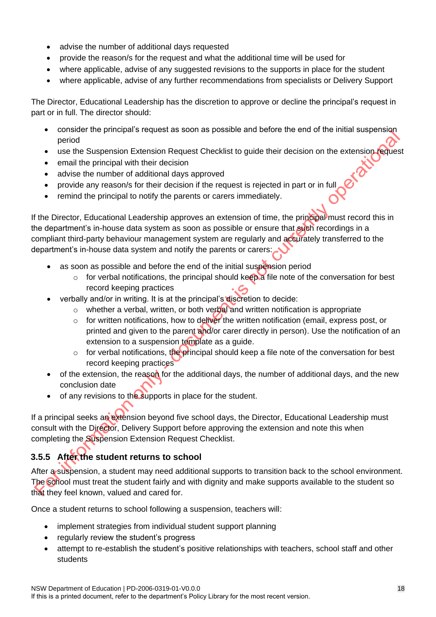- advise the number of additional days requested
- provide the reason/s for the request and what the additional time will be used for
- where applicable, advise of any suggested revisions to the supports in place for the student
- where applicable, advise of any further recommendations from specialists or Delivery Support

The Director, Educational Leadership has the discretion to approve or decline the principal's request in part or in full. The director should:

- consider the principal's request as soon as possible and before the end of the initial suspension period
- use the Suspension Extension Request Checklist to guide their decision on the extension request
- email the principal with their decision
- advise the number of additional days approved
- provide any reason/s for their decision if the request is rejected in part or in full
- remind the principal to notify the parents or carers immediately.

If the Director, Educational Leadership approves an extension of time, the principal must record this in the department's in-house data system as soon as possible or ensure that such recordings in a compliant third-party behaviour management system are regularly and accurately transferred to the department's in-house data system and notify the parents or carers:

- as soon as possible and before the end of the initial suspension period
	- $\circ$  for verbal notifications, the principal should keep a file note of the conversation for best record keeping practices
- verbally and/or in writing. It is at the principal's discretion to decide:
	- $\circ$  whether a verbal, written, or both verbal and written notification is appropriate
	- $\circ$  for written notifications, how to deliver the written notification (email, express post, or printed and given to the parent and/or carer directly in person). Use the notification of an extension to a suspension template as a guide.
	- $\circ$  for verbal notifications, the principal should keep a file note of the conversation for best record keeping practices
- of the extension, the reason for the additional days, the number of additional days, and the new conclusion date
- of any revisions to the supports in place for the student.

If a principal seeks an extension beyond five school days, the Director, Educational Leadership must consult with the Director, Delivery Support before approving the extension and note this when completing the Suspension Extension Request Checklist.

# <span id="page-17-0"></span>**3.5.5 After the student returns to school**

After a suspension, a student may need additional supports to transition back to the school environment. The school must treat the student fairly and with dignity and make supports available to the student so that they feel known, valued and cared for.

Once a student returns to school following a suspension, teachers will:

- implement strategies from individual student support planning
- regularly review the student's progress
- attempt to re-establish the student's positive relationships with teachers, school staff and other students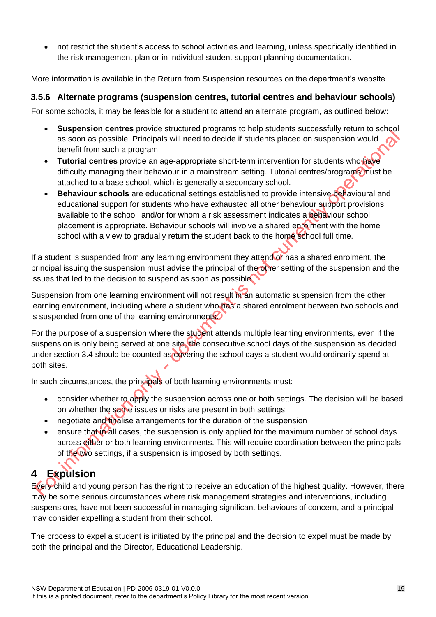• not restrict the student's access to school activities and learning, unless specifically identified in the risk management plan or in individual student support planning documentation.

More information is available in the Return from Suspension resources on the department's website.

#### <span id="page-18-0"></span>**3.5.6 Alternate programs (suspension centres, tutorial centres and behaviour schools)**

For some schools, it may be feasible for a student to attend an alternate program, as outlined below:

- **Suspension centres** provide structured programs to help students successfully return to school as soon as possible. Principals will need to decide if students placed on suspension would benefit from such a program.
- **Tutorial centres** provide an age-appropriate short-term intervention for students who have difficulty managing their behaviour in a mainstream setting. Tutorial centres/programs must be attached to a base school, which is generally a secondary school.
- **Behaviour schools** are educational settings established to provide intensive behavioural and educational support for students who have exhausted all other behaviour support provisions available to the school, and/or for whom a risk assessment indicates a behaviour school placement is appropriate. Behaviour schools will involve a shared enrolment with the home school with a view to gradually return the student back to the home school full time.

If a student is suspended from any learning environment they attend of has a shared enrolment, the principal issuing the suspension must advise the principal of the other setting of the suspension and the issues that led to the decision to suspend as soon as possible.

Suspension from one learning environment will not result in an automatic suspension from the other learning environment, including where a student who has a shared enrolment between two schools and is suspended from one of the learning environments.

For the purpose of a suspension where the student attends multiple learning environments, even if the suspension is only being served at one site, the consecutive school days of the suspension as decided under section 3.4 should be counted as covering the school days a student would ordinarily spend at both sites.

In such circumstances, the principals of both learning environments must:

- consider whether to apply the suspension across one or both settings. The decision will be based on whether the same issues or risks are present in both settings
- negotiate and finalise arrangements for the duration of the suspension
- ensure that in all cases, the suspension is only applied for the maximum number of school days across either or both learning environments. This will require coordination between the principals of the two settings, if a suspension is imposed by both settings.

# <span id="page-18-1"></span>**4 Expulsion**

Every child and young person has the right to receive an education of the highest quality. However, there may be some serious circumstances where risk management strategies and interventions, including suspensions, have not been successful in managing significant behaviours of concern, and a principal may consider expelling a student from their school.

The process to expel a student is initiated by the principal and the decision to expel must be made by both the principal and the Director, Educational Leadership.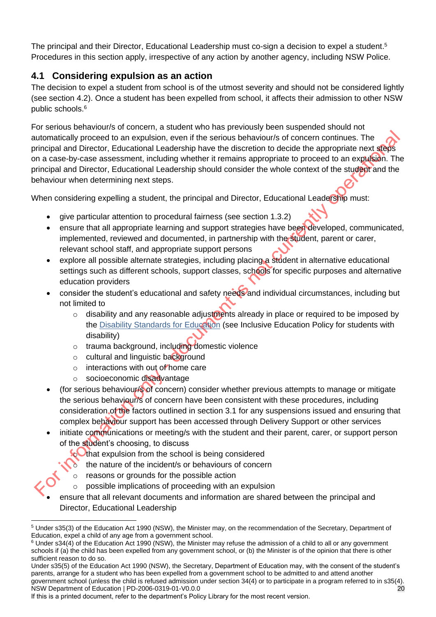The principal and their Director, Educational Leadership must co-sign a decision to expel a student.<sup>5</sup> Procedures in this section apply, irrespective of any action by another agency, including NSW Police.

## <span id="page-19-0"></span>**4.1 Considering expulsion as an action**

The decision to expel a student from school is of the utmost severity and should not be considered lightly (see section 4.2). Once a student has been expelled from school, it affects their admission to other NSW public schools. 6

For serious behaviour/s of concern, a student who has previously been suspended should not automatically proceed to an expulsion, even if the serious behaviour/s of concern continues. The principal and Director, Educational Leadership have the discretion to decide the appropriate next steps on a case-by-case assessment, including whether it remains appropriate to proceed to an expulsion. The principal and Director, Educational Leadership should consider the whole context of the student and the behaviour when determining next steps.

When considering expelling a student, the principal and Director, Educational Leadership must:

- give particular attention to procedural fairness (see section 1.3.2)
- ensure that all appropriate learning and support strategies have been developed, communicated, implemented, reviewed and documented, in partnership with the student, parent or carer, relevant school staff, and appropriate support persons
- explore all possible alternate strategies, including placing a student in alternative educational settings such as different schools, support classes, schools for specific purposes and alternative education providers
- consider the student's educational and safety needs and individual circumstances, including but not limited to
	- o disability and any reasonable adjustments already in place or required to be imposed by the [Disability Standards for Education](https://www.legislation.gov.au/Details/F2005L00767) (see Inclusive Education Policy for students with disability)
	- o trauma background, including domestic violence
	- o cultural and linguistic background
	- $\circ$  interactions with out of home care
	- o socioeconomic disadvantage
- (for serious behaviour/s of concern) consider whether previous attempts to manage or mitigate the serious behaviour/s of concern have been consistent with these procedures, including consideration of the factors outlined in section 3.1 for any suspensions issued and ensuring that complex behaviour support has been accessed through Delivery Support or other services
- initiate communications or meeting/s with the student and their parent, carer, or support person of the student's choosing, to discuss
	- $\odot$  that expulsion from the school is being considered
		- the nature of the incident/s or behaviours of concern
	- o reasons or grounds for the possible action
	- $\circ$  possible implications of proceeding with an expulsion
- ensure that all relevant documents and information are shared between the principal and Director, Educational Leadership

 <sup>5</sup> Under s35(3) of the Education Act 1990 (NSW), the Minister may, on the recommendation of the Secretary, Department of Education, expel a child of any age from a government school.

 $6$  Under s34(4) of the Education Act 1990 (NSW), the Minister may refuse the admission of a child to all or any government schools if (a) the child has been expelled from any government school, or (b) the Minister is of the opinion that there is other sufficient reason to do so.

NSW Department of Education | PD-2006-0319-01-V0.0.0 20 Under s35(5) of the Education Act 1990 (NSW), the Secretary, Department of Education may, with the consent of the student's parents, arrange for a student who has been expelled from a government school to be admitted to and attend another government school (unless the child is refused admission under section 34(4) or to participate in a program referred to in s35(4).

If this is a printed document, refer to the department's Policy Library for the most recent version.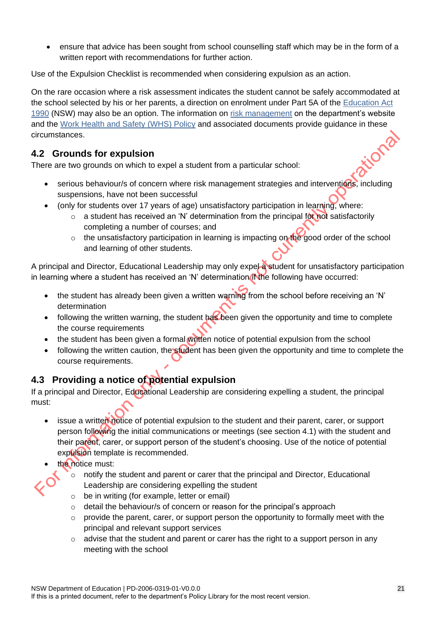• ensure that advice has been sought from school counselling staff which may be in the form of a written report with recommendations for further action.

Use of the Expulsion Checklist is recommended when considering expulsion as an action.

On the rare occasion where a risk assessment indicates the student cannot be safely accommodated at the school selected by his or her parents, a direction on enrolment under Part 5A of the [Education Act](https://legislation.nsw.gov.au/view/html/inforce/current/act-1990-008)  [1990](https://legislation.nsw.gov.au/view/html/inforce/current/act-1990-008) (NSW) may also be an option. The information on [risk management](https://education.nsw.gov.au/inside-the-department/health-and-safety/risk-management/procedures-and-tools) on the department's website and the [Work Health and Safety](https://policies.education.nsw.gov.au/policy-library/policies/work-health-and-safety-whs-policy) (WHS) Policy and associated documents provide guidance in these tiona circumstances.

## <span id="page-20-0"></span>**4.2 Grounds for expulsion**

There are two grounds on which to expel a student from a particular school:

- serious behaviour/s of concern where risk management strategies and interventions, including suspensions, have not been successful
- (only for students over 17 years of age) unsatisfactory participation in learning, where:
	- $\circ$  a student has received an 'N' determination from the principal for not satisfactorily completing a number of courses; and
	- $\circ$  the unsatisfactory participation in learning is impacting on the good order of the school and learning of other students.

A principal and Director, Educational Leadership may only expel a student for unsatisfactory participation in learning where a student has received an 'N' determination if the following have occurred:

- the student has already been given a written warning from the school before receiving an 'N' determination
- following the written warning, the student has been given the opportunity and time to complete the course requirements
- the student has been given a formal written notice of potential expulsion from the school
- following the written caution, the student has been given the opportunity and time to complete the course requirements.

## <span id="page-20-1"></span>**4.3 Providing a notice of potential expulsion**

If a principal and Director, Educational Leadership are considering expelling a student, the principal must:

- issue a written notice of potential expulsion to the student and their parent, carer, or support person following the initial communications or meetings (see section 4.1) with the student and their parent, carer, or support person of the student's choosing. Use of the notice of potential expulsion template is recommended.
- the notice must:
	- $\circ$  notify the student and parent or carer that the principal and Director, Educational Leadership are considering expelling the student
	- $\circ$  be in writing (for example, letter or email)
	- o detail the behaviour/s of concern or reason for the principal's approach
	- o provide the parent, carer, or support person the opportunity to formally meet with the principal and relevant support services
	- $\circ$  advise that the student and parent or carer has the right to a support person in any meeting with the school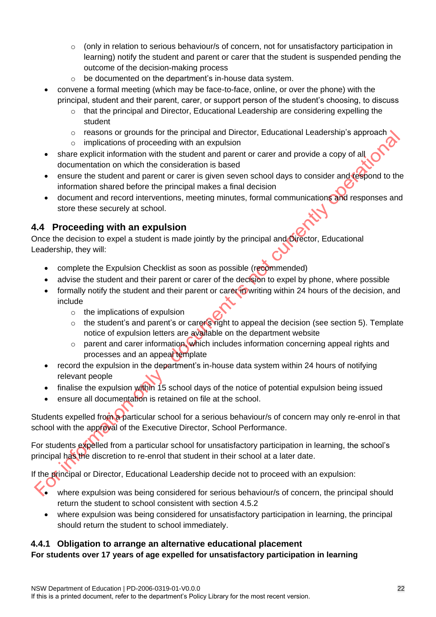- $\circ$  (only in relation to serious behaviour/s of concern, not for unsatisfactory participation in learning) notify the student and parent or carer that the student is suspended pending the outcome of the decision-making process
- o be documented on the department's in-house data system.
- convene a formal meeting (which may be face-to-face, online, or over the phone) with the principal, student and their parent, carer, or support person of the student's choosing, to discuss
	- $\circ$  that the principal and Director, Educational Leadership are considering expelling the student
	- $\circ$  reasons or grounds for the principal and Director, Educational Leadership's approach
	- o implications of proceeding with an expulsion
- share explicit information with the student and parent or carer and provide a copy of all documentation on which the consideration is based
- ensure the student and parent or carer is given seven school days to consider and respond to the information shared before the principal makes a final decision
- document and record interventions, meeting minutes, formal communications and responses and store these securely at school.

#### <span id="page-21-0"></span>**4.4 Proceeding with an expulsion**

Once the decision to expel a student is made jointly by the principal and Director, Educational Leadership, they will:

- complete the Expulsion Checklist as soon as possible (recommended)
- advise the student and their parent or carer of the decision to expel by phone, where possible
- formally notify the student and their parent or carer in writing within 24 hours of the decision, and include
	- o the implications of expulsion
	- $\circ$  the student's and parent's or carer's right to appeal the decision (see section 5). Template notice of expulsion letters are available on the department website
	- $\circ$  parent and carer information, which includes information concerning appeal rights and processes and an appeal template
- record the expulsion in the department's in-house data system within 24 hours of notifying relevant people
- finalise the expulsion within 15 school days of the notice of potential expulsion being issued
- ensure all documentation is retained on file at the school.

Students expelled from a particular school for a serious behaviour/s of concern may only re-enrol in that school with the approval of the Executive Director, School Performance.

For students expelled from a particular school for unsatisfactory participation in learning, the school's principal has the discretion to re-enrol that student in their school at a later date.

If the principal or Director, Educational Leadership decide not to proceed with an expulsion:

- where expulsion was being considered for serious behaviour/s of concern, the principal should return the student to school consistent with section 4.5.2
- where expulsion was being considered for unsatisfactory participation in learning, the principal should return the student to school immediately.

#### <span id="page-21-1"></span>**4.4.1 Obligation to arrange an alternative educational placement**

#### **For students over 17 years of age expelled for unsatisfactory participation in learning**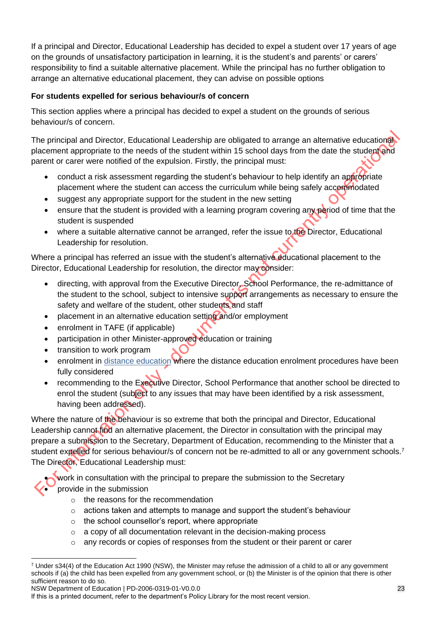If a principal and Director, Educational Leadership has decided to expel a student over 17 years of age on the grounds of unsatisfactory participation in learning, it is the student's and parents' or carers' responsibility to find a suitable alternative placement. While the principal has no further obligation to arrange an alternative educational placement, they can advise on possible options

#### **For students expelled for serious behaviour/s of concern**

This section applies where a principal has decided to expel a student on the grounds of serious behaviour/s of concern.

The principal and Director, Educational Leadership are obligated to arrange an alternative educational placement appropriate to the needs of the student within 15 school days from the date the student and parent or carer were notified of the expulsion. Firstly, the principal must:

- conduct a risk assessment regarding the student's behaviour to help identify an appropriate placement where the student can access the curriculum while being safely accommodated
- suggest any appropriate support for the student in the new setting
- ensure that the student is provided with a learning program covering any period of time that the student is suspended
- where a suitable alternative cannot be arranged, refer the issue to the Director, Educational Leadership for resolution.

Where a principal has referred an issue with the student's alternative educational placement to the Director, Educational Leadership for resolution, the director may consider:

- directing, with approval from the Executive Director, School Performance, the re-admittance of the student to the school, subject to intensive support arrangements as necessary to ensure the safety and welfare of the student, other students and staff
- placement in an alternative education setting and/or employment
- enrolment in TAFE (if applicable)
- participation in other Minister-approved education or training
- transition to work program
- enrolment in [distance education](https://education.nsw.gov.au/teaching-and-learning/curriculum/rural-and-distance-education/distance-education) where the distance education enrolment procedures have been fully considered
- recommending to the Executive Director, School Performance that another school be directed to enrol the student (subject to any issues that may have been identified by a risk assessment, having been addressed).

Where the nature of the behaviour is so extreme that both the principal and Director, Educational Leadership cannot find an alternative placement, the Director in consultation with the principal may prepare a submission to the Secretary, Department of Education, recommending to the Minister that a student expelled for serious behaviour/s of concern not be re-admitted to all or any government schools.<sup>7</sup> The Director, Educational Leadership must:

work in consultation with the principal to prepare the submission to the Secretary • provide in the submission

- o the reasons for the recommendation
- $\circ$  actions taken and attempts to manage and support the student's behaviour
- o the school counsellor's report, where appropriate
- $\circ$  a copy of all documentation relevant in the decision-making process
- any records or copies of responses from the student or their parent or carer

NSW Department of Education | PD-2006-0319-01-V0.0.0 23

  $7$  Under s34(4) of the Education Act 1990 (NSW), the Minister may refuse the admission of a child to all or any government schools if (a) the child has been expelled from any government school, or (b) the Minister is of the opinion that there is other sufficient reason to do so.

If this is a printed document, refer to the department's Policy Library for the most recent version.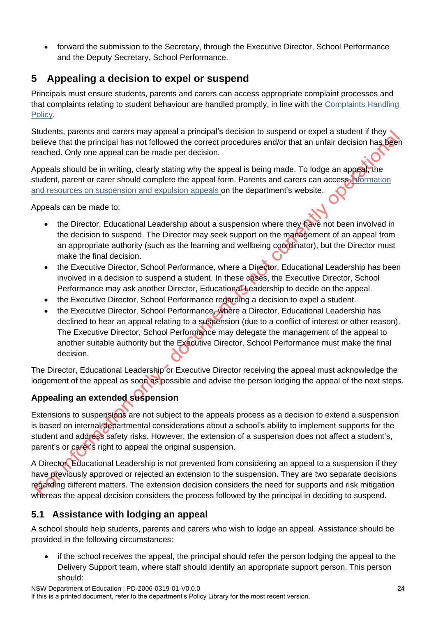• forward the submission to the Secretary, through the Executive Director, School Performance and the Deputy Secretary, School Performance.

# <span id="page-23-0"></span>**5 Appealing a decision to expel or suspend**

Principals must ensure students, parents and carers can access appropriate complaint processes and that complaints relating to student behaviour are handled promptly, in line with the [Complaints Handling](https://education.nsw.gov.au/policy-library/policies/pd-2002-0051)  [Policy.](https://education.nsw.gov.au/policy-library/policies/pd-2002-0051)

Students, parents and carers may appeal a principal's decision to suspend or expel a student if they believe that the principal has not followed the correct procedures and/or that an unfair decision has been reached. Only one appeal can be made per decision.

Appeals should be in writing, clearly stating why the appeal is being made. To lodge an appeal, the student, parent or carer should complete the appeal form. Parents and carers can access information [and resources on suspension and expulsion appeals](https://education.nsw.gov.au/parents-and-carers/going-to-school/school-events/suspension-and-expulsion-from-a-public-school) on the department's website.

Appeals can be made to:

- the Director, Educational Leadership about a suspension where they have not been involved in the decision to suspend. The Director may seek support on the management of an appeal from an appropriate authority (such as the learning and wellbeing coordinator), but the Director must make the final decision.
- the Executive Director, School Performance, where a Director, Educational Leadership has been involved in a decision to suspend a student. In these cases, the Executive Director, School Performance may ask another Director, Educational Leadership to decide on the appeal.
- the Executive Director, School Performance regarding a decision to expel a student.
- the Executive Director, School Performance, where a Director, Educational Leadership has declined to hear an appeal relating to a suspension (due to a conflict of interest or other reason). The Executive Director, School Performance may delegate the management of the appeal to another suitable authority but the Executive Director, School Performance must make the final decision.

The Director, Educational Leadership or Executive Director receiving the appeal must acknowledge the lodgement of the appeal as soon as possible and advise the person lodging the appeal of the next steps.

# **Appealing an extended suspension**

Extensions to suspensions are not subject to the appeals process as a decision to extend a suspension is based on internal departmental considerations about a school's ability to implement supports for the student and address safety risks. However, the extension of a suspension does not affect a student's, parent's or carer's right to appeal the original suspension.

A Director, Educational Leadership is not prevented from considering an appeal to a suspension if they have previously approved or rejected an extension to the suspension. They are two separate decisions regarding different matters. The extension decision considers the need for supports and risk mitigation whereas the appeal decision considers the process followed by the principal in deciding to suspend.

## <span id="page-23-1"></span>**5.1 Assistance with lodging an appeal**

A school should help students, parents and carers who wish to lodge an appeal. Assistance should be provided in the following circumstances:

if the school receives the appeal, the principal should refer the person lodging the appeal to the Delivery Support team, where staff should identify an appropriate support person. This person should: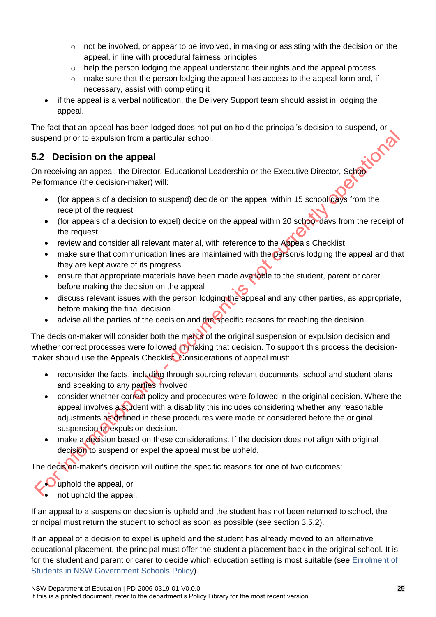- $\circ$  not be involved, or appear to be involved, in making or assisting with the decision on the appeal, in line with procedural fairness principles
- o help the person lodging the appeal understand their rights and the appeal process
- $\circ$  make sure that the person lodging the appeal has access to the appeal form and, if necessary, assist with completing it
- if the appeal is a verbal notification, the Delivery Support team should assist in lodging the appeal.

The fact that an appeal has been lodged does not put on hold the principal's decision to suspend, or suspend prior to expulsion from a particular school.

## <span id="page-24-0"></span>**5.2 Decision on the appeal**

On receiving an appeal, the Director, Educational Leadership or the Executive Director, School Performance (the decision-maker) will:

- (for appeals of a decision to suspend) decide on the appeal within 15 school days from the receipt of the request
- (for appeals of a decision to expel) decide on the appeal within 20 school days from the receipt of the request
- review and consider all relevant material, with reference to the Appeals Checklist
- make sure that communication lines are maintained with the person/s lodging the appeal and that they are kept aware of its progress
- ensure that appropriate materials have been made available to the student, parent or carer before making the decision on the appeal
- discuss relevant issues with the person lodging the appeal and any other parties, as appropriate, before making the final decision
- advise all the parties of the decision and the specific reasons for reaching the decision.

The decision-maker will consider both the merits of the original suspension or expulsion decision and whether correct processes were followed in making that decision. To support this process the decisionmaker should use the Appeals Checklist. Considerations of appeal must:

- reconsider the facts, including through sourcing relevant documents, school and student plans and speaking to any parties involved
- consider whether correct policy and procedures were followed in the original decision. Where the appeal involves a student with a disability this includes considering whether any reasonable adjustments as defined in these procedures were made or considered before the original suspension of expulsion decision.
- make a decision based on these considerations. If the decision does not align with original decision to suspend or expel the appeal must be upheld.

The decision-maker's decision will outline the specific reasons for one of two outcomes:

• uphold the appeal, or

• not uphold the appeal.

If an appeal to a suspension decision is upheld and the student has not been returned to school, the principal must return the student to school as soon as possible (see section 3.5.2).

If an appeal of a decision to expel is upheld and the student has already moved to an alternative educational placement, the principal must offer the student a placement back in the original school. It is for the student and parent or carer to decide which education setting is most suitable (see [Enrolment of](https://education.nsw.gov.au/policy-library/policies/pd-2002-0006)  [Students in NSW Government Schools](https://education.nsw.gov.au/policy-library/policies/pd-2002-0006) Policy).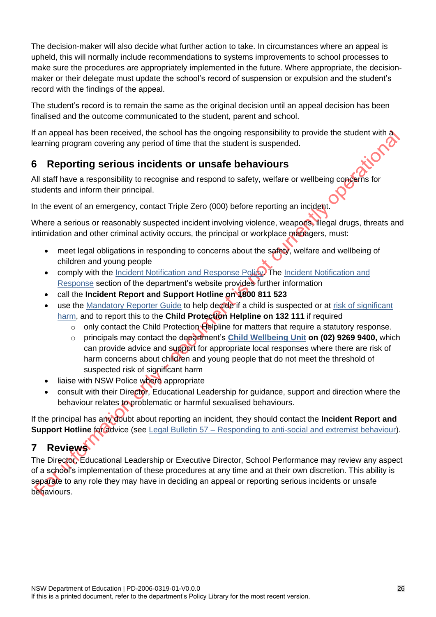The decision-maker will also decide what further action to take. In circumstances where an appeal is upheld, this will normally include recommendations to systems improvements to school processes to make sure the procedures are appropriately implemented in the future. Where appropriate, the decisionmaker or their delegate must update the school's record of suspension or expulsion and the student's record with the findings of the appeal.

The student's record is to remain the same as the original decision until an appeal decision has been finalised and the outcome communicated to the student, parent and school.

If an appeal has been received, the school has the ongoing responsibility to provide the student with a learning program covering any period of time that the student is suspended.<br>6 Reporting serious in the student of the learning program covering any period of time that the student is suspended.

# <span id="page-25-0"></span>**6 Reporting serious incidents or unsafe behaviours**

All staff have a responsibility to recognise and respond to safety, welfare or wellbeing concerns for students and inform their principal.

In the event of an emergency, contact Triple Zero (000) before reporting an incident.

Where a serious or reasonably suspected incident involving violence, weapons, illegal drugs, threats and intimidation and other criminal activity occurs, the principal or workplace managers, must:

- meet legal obligations in responding to concerns about the safety, welfare and wellbeing of children and young people
- comply with the [Incident Notification and Response Policy.](https://policies.education.nsw.gov.au/policy-library/policies/incident-reporting-policy) The Incident Notification and [Response](https://education.nsw.gov.au/leadership-pathways/at-a-glance/at-a-glance-work-health-and-safety/incident-notification-and-response) section of the department's website provides further information
- call the **Incident Report and Support Hotline on 1800 811 523**
- use the [Mandatory Reporter Guide](https://reporter.childstory.nsw.gov.au/s/) to help decide if a child is suspected or at risk of significant [harm,](https://education.nsw.gov.au/student-wellbeing/child-protection/mandatory-reporting) and to report this to the **Child Protection Helpline on 132 111** if required
	- o only contact the Child Protection Helpline for matters that require a statutory response.
	- o principals may contact the department's **[Child Wellbeing Unit](https://education.nsw.gov.au/student-wellbeing/child-protection/child-protection-policy-guidelines/contacting-the-child-wellbeing-unit) on (02) 9269 9400,** which can provide advice and support for appropriate local responses where there are risk of harm concerns about children and young people that do not meet the threshold of suspected risk of significant harm
- liaise with NSW Police where appropriate
- consult with their Director, Educational Leadership for guidance, support and direction where the behaviour relates to problematic or harmful sexualised behaviours.

If the principal has any doubt about reporting an incident, they should contact the **Incident Report and Support Hotline for advice (see Legal Bulletin 57 – [Responding to anti-social and extremist behaviour\)](https://education.nsw.gov.au/about-us/rights-and-accountability/legal-issues-bulletins/bulletin-57-responding-to-anti-social-and-extremist-behaviour).** 

# <span id="page-25-1"></span>**7 Reviews**

The Director, Educational Leadership or Executive Director, School Performance may review any aspect of a school's implementation of these procedures at any time and at their own discretion. This ability is separate to any role they may have in deciding an appeal or reporting serious incidents or unsafe behaviours.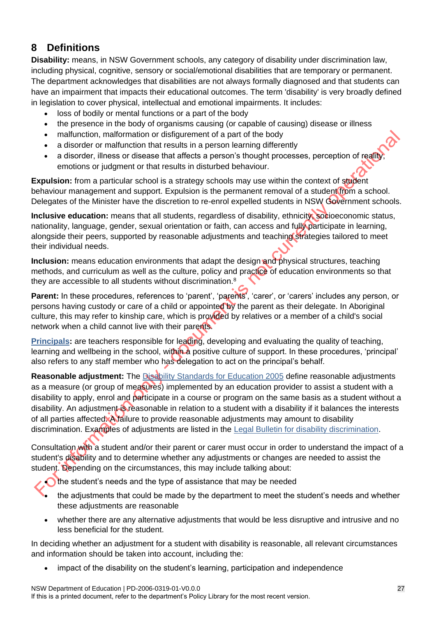# <span id="page-26-0"></span>**8 Definitions**

**Disability:** means, in NSW Government schools, any category of disability under discrimination law, including physical, cognitive, sensory or social/emotional disabilities that are temporary or permanent. The department acknowledges that disabilities are not always formally diagnosed and that students can have an impairment that impacts their educational outcomes. The term 'disability' is very broadly defined in legislation to cover physical, intellectual and emotional impairments. It includes:

- loss of bodily or mental functions or a part of the body
- the presence in the body of organisms causing (or capable of causing) disease or illness
- malfunction, malformation or disfigurement of a part of the body
- a disorder or malfunction that results in a person learning differently
- a disorder, illness or disease that affects a person's thought processes, perception of reality emotions or judgment or that results in disturbed behaviour.

**Expulsion:** from a particular school is a strategy schools may use within the context of student behaviour management and support. Expulsion is the permanent removal of a student from a school. Delegates of the Minister have the discretion to re-enrol expelled students in NSW Government schools.

**Inclusive education:** means that all students, regardless of disability, ethnicity, socioeconomic status, nationality, language, gender, sexual orientation or faith, can access and fully participate in learning, alongside their peers, supported by reasonable adjustments and teaching strategies tailored to meet their individual needs.

**Inclusion:** means education environments that adapt the design and physical structures, teaching methods, and curriculum as well as the culture, policy and practice of education environments so that they are accessible to all students without discrimination.<sup>8</sup>

**Parent:** In these procedures, references to 'parent', 'parents', 'carer', or 'carers' includes any person, or persons having custody or care of a child or appointed by the parent as their delegate. In Aboriginal culture, this may refer to kinship care, which is provided by relatives or a member of a child's social network when a child cannot live with their parents.

**[Principals:](https://education.nsw.gov.au/leadership-pathways/principals/principal-role-description-2021/principal-role-description-companion-resource)** are teachers responsible for leading, developing and evaluating the quality of teaching, learning and wellbeing in the school, within a positive culture of support. In these procedures, 'principal' also refers to any staff member who has delegation to act on the principal's behalf.

**Reasonable adjustment:** The [Disability Standards for Education 2005](https://www.legislation.gov.au/Details/F2005L00767) define reasonable adjustments as a measure (or group of measures) implemented by an education provider to assist a student with a disability to apply, enrol and participate in a course or program on the same basis as a student without a disability. An adjustment is reasonable in relation to a student with a disability if it balances the interests of all parties affected. A failure to provide reasonable adjustments may amount to disability discrimination. Examples of adjustments are listed in the [Legal Bulletin for disability discrimination.](https://education.nsw.gov.au/about-us/rights-and-accountability/legal-issues-bulletins/disability-discrimination-legal-issues-bulletin)

Consultation with a student and/or their parent or carer must occur in order to understand the impact of a student's disability and to determine whether any adjustments or changes are needed to assist the student. Depending on the circumstances, this may include talking about:

 $\bigcap$  the student's needs and the type of assistance that may be needed

- the adjustments that could be made by the department to meet the student's needs and whether these adjustments are reasonable
- whether there are any alternative adjustments that would be less disruptive and intrusive and no less beneficial for the student.

In deciding whether an adjustment for a student with disability is reasonable, all relevant circumstances and information should be taken into account, including the:

• impact of the disability on the student's learning, participation and independence